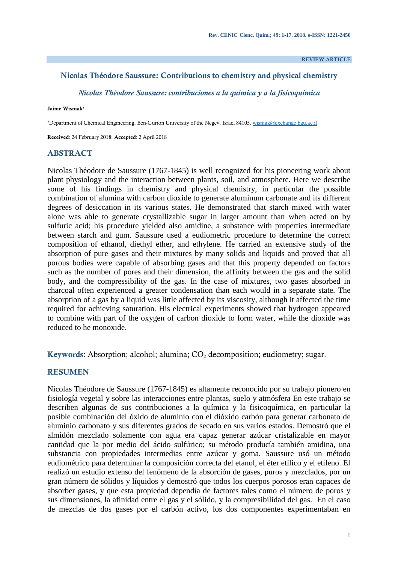**REVIEW ARTICLE**

#### **Nicolas Théodore Saussure: Contributions to chemistry and physical chemistry**

*Nicolas Théodore Saussure: contribuciones a la química y a la fisicoquímica*

#### **Jaime Wisniak<sup>a</sup>**

aDepartment of Chemical Engineering, Ben-Gurion University of the Negev, Israel 84105[. wisniak@exchange.bgu.ac.il](mailto:wisniak@exchange.bgu.ac.il)

**Received**: 24 February 2018; **Accepted**: 2 April 2018

#### **ABSTRACT**

Nicolas Théodore de Saussure (1767-1845) is well recognized for his pioneering work about plant physiology and the interaction between plants, soil, and atmosphere. Here we describe some of his findings in chemistry and physical chemistry, in particular the possible combination of alumina with carbon dioxide to generate aluminum carbonate and its different degrees of desiccation in its various states. He demonstrated that starch mixed with water alone was able to generate crystallizable sugar in larger amount than when acted on by sulfuric acid; his procedure yielded also amidine, a substance with properties intermediate between starch and gum. Saussure used a eudiometric procedure to determine the correct composition of ethanol, diethyl ether, and ethylene. He carried an extensive study of the absorption of pure gases and their mixtures by many solids and liquids and proved that all porous bodies were capable of absorbing gases and that this property depended on factors such as the number of pores and their dimension, the affinity between the gas and the solid body, and the compressibility of the gas. In the case of mixtures, two gases absorbed in charcoal often experienced a greater condensation than each would in a separate state. The absorption of a gas by a liquid was little affected by its viscosity, although it affected the time required for achieving saturation. His electrical experiments showed that hydrogen appeared to combine with part of the oxygen of carbon dioxide to form water, while the dioxide was reduced to he monoxide.

**Keywords:** Absorption; alcohol; alumina;  $CO<sub>2</sub>$  decomposition; eudiometry; sugar.

#### **RESUMEN**

Nicolas Théodore de Saussure (1767-1845) es altamente reconocido por su trabajo pionero en fisiología vegetal y sobre las interacciones entre plantas, suelo y atmósfera En este trabajo se describen algunas de sus contribuciones a la química y la fisicoquímica, en particular la posible combinación del óxido de aluminio con el dióxido carbón para generar carbonato de aluminio carbonato y sus diferentes grados de secado en sus varios estados. Demostró que el almidón mezclado solamente con agua era capaz generar azúcar cristalizable en mayor cantidad que la por medio del ácido sulfúrico; su método producía también amidina, una substancia con propiedades intermedias entre azúcar y goma. Saussure usó un método eudiométrico para determinar la composición correcta del etanol, el éter etílico y el etileno. El realizó un estudio extenso del fenómeno de la absorción de gases, puros y mezclados, por un gran número de sólidos y líquidos y demostró que todos los cuerpos porosos eran capaces de absorber gases, y que esta propiedad dependía de factores tales como el número de poros y sus dimensiones, la afinidad entre el gas y el sólido, y la compresibilidad del gas. En el caso de mezclas de dos gases por el carbón activo, los dos componentes experimentaban en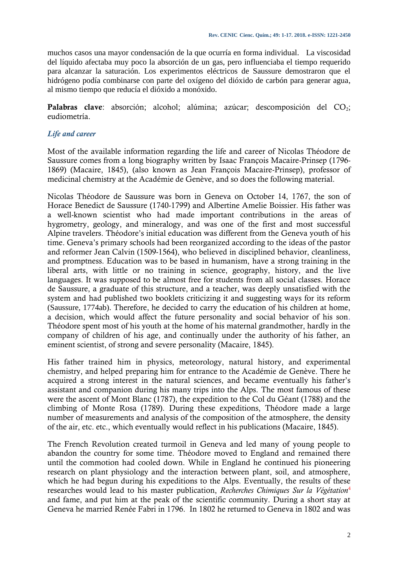muchos casos una mayor condensación de la que ocurría en forma individual. La viscosidad del líquido afectaba muy poco la absorción de un gas, pero influenciaba el tiempo requerido para alcanzar la saturación. Los experimentos eléctricos de Saussure demostraron que el hidrógeno podía combinarse con parte del oxígeno del dióxido de carbón para generar agua, al mismo tiempo que reducía el dióxido a monóxido.

Palabras clave: absorción; alcohol; alúmina; azúcar; descomposición del CO<sub>2</sub>; eudiometría.

## *Life and career*

Most of the available information regarding the life and career of Nicolas Théodore de Saussure comes from a long biography written by Isaac François Macaire-Prinsep (1796- 1869) (Macaire, 1845), (also known as Jean François Macaire-Prinsep), professor of medicinal chemistry at the Académie de Genève, and so does the following material.

Nicolas Théodore de Saussure was born in Geneva on October 14, 1767, the son of Horace Benedict de Saussure (1740-1799) and Albertine Amelie Boissier. His father was a well-known scientist who had made important contributions in the areas of hygrometry, geology, and mineralogy, and was one of the first and most successful Alpine travelers. Théodore's initial education was different from the Geneva youth of his time. Geneva's primary schools had been reorganized according to the ideas of the pastor and reformer Jean Calvin (1509-1564), who believed in disciplined behavior, cleanliness, and promptness. Education was to be based in humanism, have a strong training in the liberal arts, with little or no training in science, geography, history, and the live languages. It was supposed to be almost free for students from all social classes. Horace de Saussure, a graduate of this structure, and a teacher, was deeply unsatisfied with the system and had published two booklets criticizing it and suggesting ways for its reform (Saussure, 1774ab). Therefore, he decided to carry the education of his children at home, a decision, which would affect the future personality and social behavior of his son. Théodore spent most of his youth at the home of his maternal grandmother, hardly in the company of children of his age, and continually under the authority of his father, an eminent scientist, of strong and severe personality (Macaire, 1845).

His father trained him in physics, meteorology, natural history, and experimental chemistry, and helped preparing him for entrance to the Académie de Genève. There he acquired a strong interest in the natural sciences, and became eventually his father's assistant and companion during his many trips into the Alps. The most famous of these were the ascent of Mont Blanc (1787), the expedition to the Col du Géant (1788) and the climbing of Monte Rosa (1789). During these expeditions, Théodore made a large number of measurements and analysis of the composition of the atmosphere, the density of the air, etc. etc., which eventually would reflect in his publications (Macaire, 1845).

The French Revolution created turmoil in Geneva and led many of young people to abandon the country for some time. Théodore moved to England and remained there until the commotion had cooled down. While in England he continued his pioneering research on plant physiology and the interaction between plant, soil, and atmosphere, which he had begun during his expeditions to the Alps. Eventually, the results of these researches would lead to his master publication, *Recherches Chimiques Sur la Végétation*<sup>4</sup> and fame, and put him at the peak of the scientific community. During a short stay at Geneva he married Renée Fabri in 1796. In 1802 he returned to Geneva in 1802 and was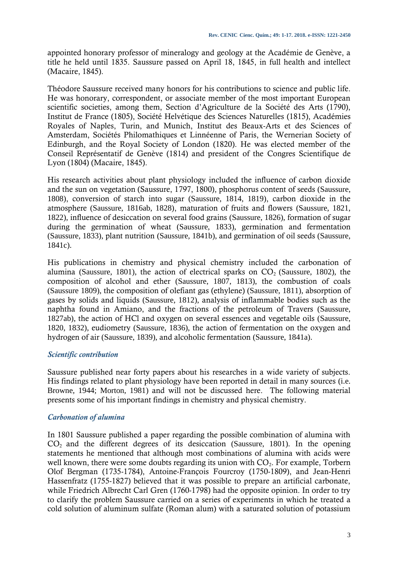appointed honorary professor of mineralogy and geology at the Académie de Genève, a title he held until 1835. Saussure passed on April 18, 1845, in full health and intellect (Macaire, 1845).

Théodore Saussure received many honors for his contributions to science and public life. He was honorary, correspondent, or associate member of the most important European scientific societies, among them, Section d'Agriculture de la Société des Arts (1790), Institut de France (1805), Société Helvétique des Sciences Naturelles (1815), Académies Royales of Naples, Turin, and Munich, Institut des Beaux-Arts et des Sciences of Amsterdam, Sociétés Philomathiques et Linnéenne of Paris, the Wernerian Society of Edinburgh, and the Royal Society of London (1820). He was elected member of the Conseil Représentatif de Genève (1814) and president of the Congres Scientifique de Lyon (1804) (Macaire, 1845).

His research activities about plant physiology included the influence of carbon dioxide and the sun on vegetation (Saussure, 1797, 1800), phosphorus content of seeds (Saussure, 1808), conversion of starch into sugar (Saussure, 1814, 1819), carbon dioxide in the atmosphere (Saussure, 1816ab, 1828), maturation of fruits and flowers (Saussure, 1821, 1822), influence of desiccation on several food grains (Saussure, 1826), formation of sugar during the germination of wheat (Saussure, 1833), germination and fermentation (Saussure, 1833), plant nutrition (Saussure, 1841b), and germination of oil seeds (Saussure, 1841c).

His publications in chemistry and physical chemistry included the carbonation of alumina (Saussure, 1801), the action of electrical sparks on  $CO<sub>2</sub>$  (Saussure, 1802), the composition of alcohol and ether (Saussure, 1807, 1813), the combustion of coals (Saussure 1809), the composition of olefiant gas (ethylene) (Saussure, 1811), absorption of gases by solids and liquids (Saussure, 1812), analysis of inflammable bodies such as the naphtha found in Amiano, and the fractions of the petroleum of Travers (Saussure, 1827ab), the action of HCl and oxygen on several essences and vegetable oils (Saussure, 1820, 1832), eudiometry (Saussure, 1836), the action of fermentation on the oxygen and hydrogen of air (Saussure, 1839), and alcoholic fermentation (Saussure, 1841a).

## *Scientific contribution*

Saussure published near forty papers about his researches in a wide variety of subjects. His findings related to plant physiology have been reported in detail in many sources (i.e. Browne, 1944; Morton, 1981) and will not be discussed here. The following material presents some of his important findings in chemistry and physical chemistry.

## *Carbonation of alumina*

In 1801 Saussure published a paper regarding the possible combination of alumina with  $CO<sub>2</sub>$  and the different degrees of its desiccation (Saussure, 1801). In the opening statements he mentioned that although most combinations of alumina with acids were well known, there were some doubts regarding its union with  $CO<sub>2</sub>$ . For example, Torbern Olof Bergman (1735-1784), Antoine-François Fourcroy (1750-1809), and Jean-Henri Hassenfratz (1755-1827) believed that it was possible to prepare an artificial carbonate, while Friedrich Albrecht Carl Gren (1760-1798) had the opposite opinion. In order to try to clarify the problem Saussure carried on a series of experiments in which he treated a cold solution of aluminum sulfate (Roman alum) with a saturated solution of potassium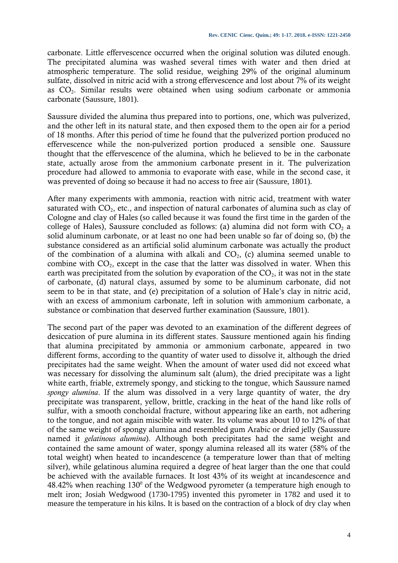carbonate. Little effervescence occurred when the original solution was diluted enough. The precipitated alumina was washed several times with water and then dried at atmospheric temperature. The solid residue, weighing 29% of the original aluminum sulfate, dissolved in nitric acid with a strong effervescence and lost about 7% of its weight as  $CO<sub>2</sub>$ . Similar results were obtained when using sodium carbonate or ammonia carbonate (Saussure, 1801).

Saussure divided the alumina thus prepared into to portions, one, which was pulverized, and the other left in its natural state, and then exposed them to the open air for a period of 18 months. After this period of time he found that the pulverized portion produced no effervescence while the non-pulverized portion produced a sensible one. Saussure thought that the effervescence of the alumina, which he believed to be in the carbonate state, actually arose from the ammonium carbonate present in it. The pulverization procedure had allowed to ammonia to evaporate with ease, while in the second case, it was prevented of doing so because it had no access to free air (Saussure, 1801).

After many experiments with ammonia, reaction with nitric acid, treatment with water saturated with  $CO<sub>2</sub>$ , etc., and inspection of natural carbonates of alumina such as clay of Cologne and clay of Hales (so called because it was found the first time in the garden of the college of Hales), Saussure concluded as follows: (a) alumina did not form with  $CO<sub>2</sub>$  a solid aluminum carbonate, or at least no one had been unable so far of doing so, (b) the substance considered as an artificial solid aluminum carbonate was actually the product of the combination of a alumina with alkali and  $CO<sub>2</sub>$ , (c) alumina seemed unable to combine with  $CO<sub>2</sub>$ , except in the case that the latter was dissolved in water. When this earth was precipitated from the solution by evaporation of the  $CO<sub>2</sub>$ , it was not in the state of carbonate, (d) natural clays, assumed by some to be aluminum carbonate, did not seem to be in that state, and (e) precipitation of a solution of Hale's clay in nitric acid, with an excess of ammonium carbonate, left in solution with ammonium carbonate, a substance or combination that deserved further examination (Saussure, 1801).

The second part of the paper was devoted to an examination of the different degrees of desiccation of pure alumina in its different states. Saussure mentioned again his finding that alumina precipitated by ammonia or ammonium carbonate, appeared in two different forms, according to the quantity of water used to dissolve it, although the dried precipitates had the same weight. When the amount of water used did not exceed what was necessary for dissolving the aluminum salt (alum), the dried precipitate was a light white earth, friable, extremely spongy, and sticking to the tongue, which Saussure named *spongy alumina*. If the alum was dissolved in a very large quantity of water, the dry precipitate was transparent, yellow, brittle, cracking in the heat of the hand like rolls of sulfur, with a smooth conchoidal fracture, without appearing like an earth, not adhering to the tongue, and not again miscible with water. Its volume was about 10 to 12% of that of the same weight of spongy alumina and resembled gum Arabic or dried jelly (Saussure named it *gelatinous alumina*). Although both precipitates had the same weight and contained the same amount of water, spongy alumina released all its water (58% of the total weight) when heated to incandescence (a temperature lower than that of melting silver), while gelatinous alumina required a degree of heat larger than the one that could be achieved with the available furnaces. It lost 43% of its weight at incandescence and  $48.42\%$  when reaching  $130^{\circ}$  of the Wedgwood pyrometer (a temperature high enough to melt iron; Josiah Wedgwood (1730-1795) invented this pyrometer in 1782 and used it to measure the temperature in his kilns. It is based on the contraction of a block of dry clay when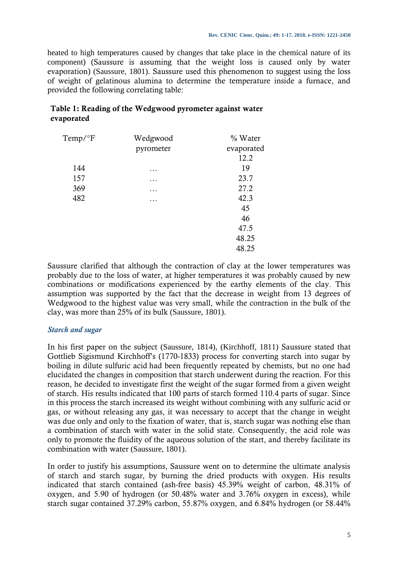heated to high temperatures caused by changes that take place in the chemical nature of its component) (Saussure is assuming that the weight loss is caused only by water evaporation) (Saussure, 1801). Saussure used this phenomenon to suggest using the loss of weight of gelatinous alumina to determine the temperature inside a furnace, and provided the following correlating table:

| $Temp/{}^{\circ}F$ | Wedgwood  | % Water    |
|--------------------|-----------|------------|
|                    | pyrometer | evaporated |
|                    |           | 12.2       |
| 144                | .         | 19         |
| 157                | $\cdots$  | 23.7       |
| 369                | $\cdots$  | 27.2       |
| 482                | .         | 42.3       |
|                    |           | 45         |
|                    |           | 46         |
|                    |           | 47.5       |
|                    |           | 48.25      |
|                    |           | 48.25      |

# **Table 1: Reading of the Wedgwood pyrometer against water evaporated**

Saussure clarified that although the contraction of clay at the lower temperatures was probably due to the loss of water, at higher temperatures it was probably caused by new combinations or modifications experienced by the earthy elements of the clay. This assumption was supported by the fact that the decrease in weight from 13 degrees of Wedgwood to the highest value was very small, while the contraction in the bulk of the clay, was more than 25% of its bulk (Saussure, 1801).

## *Starch and sugar*

In his first paper on the subject (Saussure, 1814), (Kirchhoff, 1811) Saussure stated that Gottlieb Sigismund Kirchhoff's (1770-1833) process for converting starch into sugar by boiling in dilute sulfuric acid had been frequently repeated by chemists, but no one had elucidated the changes in composition that starch underwent during the reaction. For this reason, he decided to investigate first the weight of the sugar formed from a given weight of starch. His results indicated that 100 parts of starch formed 110.4 parts of sugar. Since in this process the starch increased its weight without combining with any sulfuric acid or gas, or without releasing any gas, it was necessary to accept that the change in weight was due only and only to the fixation of water, that is, starch sugar was nothing else than a combination of starch with water in the solid state. Consequently, the acid role was only to promote the fluidity of the aqueous solution of the start, and thereby facilitate its combination with water (Saussure, 1801).

In order to justify his assumptions, Saussure went on to determine the ultimate analysis of starch and starch sugar, by burning the dried products with oxygen. His results indicated that starch contained (ash-free basis) 45.39% weight of carbon, 48.31% of oxygen, and 5.90 of hydrogen (or 50.48% water and 3.76% oxygen in excess), while starch sugar contained 37.29% carbon, 55.87% oxygen, and 6.84% hydrogen (or 58.44%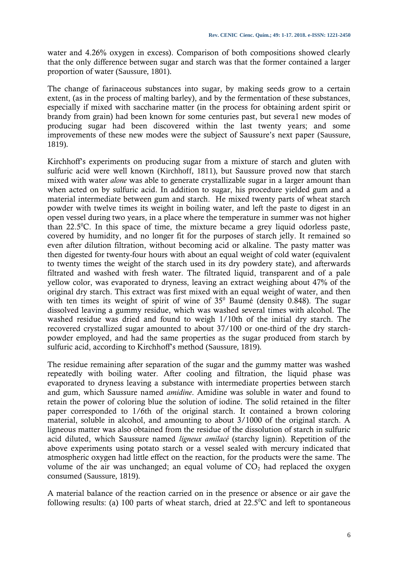water and 4.26% oxygen in excess). Comparison of both compositions showed clearly that the only difference between sugar and starch was that the former contained a larger proportion of water (Saussure, 1801).

The change of farinaceous substances into sugar, by making seeds grow to a certain extent, (as in the process of malting barley), and by the fermentation of these substances, especially if mixed with saccharine matter (in the process for obtaining ardent spirit or brandy from grain) had been known for some centuries past, but severa1 new modes of producing sugar had been discovered within the last twenty years; and some improvements of these new modes were the subject of Saussure's next paper (Saussure, 1819).

Kirchhoff's experiments on producing sugar from a mixture of starch and gluten with sulfuric acid were well known (Kirchhoff, 1811), but Saussure proved now that starch mixed with water *alone* was able to generate crystallizable sugar in a larger amount than when acted on by sulfuric acid. In addition to sugar, his procedure yielded gum and a material intermediate between gum and starch. He mixed twenty parts of wheat starch powder with twelve times its weight in boiling water, and left the paste to digest in an open vessel during two years, in a place where the temperature in summer was not higher than  $22.5^{\circ}$ C. In this space of time, the mixture became a grey liquid odorless paste, covered by humidity, and no longer fit for the purposes of starch jelly. It remained so even after dilution filtration, without becoming acid or alkaline. The pasty matter was then digested for twenty-four hours with about an equal weight of cold water (equivalent to twenty times the weight of the starch used in its dry powdery state), and afterwards filtrated and washed with fresh water. The filtrated liquid, transparent and of a pale yellow color, was evaporated to dryness, leaving an extract weighing about 47% of the original dry starch. This extract was first mixed with an equal weight of water, and then with ten times its weight of spirit of wine of  $35^{\circ}$  Baumé (density 0.848). The sugar dissolved leaving a gummy residue, which was washed several times with alcohol. The washed residue was dried and found to weigh 1/10th of the initial dry starch. The recovered crystallized sugar amounted to about 37/100 or one-third of the dry starchpowder employed, and had the same properties as the sugar produced from starch by sulfuric acid, according to Kirchhoff's method (Saussure, 1819).

The residue remaining after separation of the sugar and the gummy matter was washed repeatedly with boiling water. After cooling and filtration, the liquid phase was evaporated to dryness leaving a substance with intermediate properties between starch and gum, which Saussure named *amidine*. Amidine was soluble in water and found to retain the power of coloring blue the solution of iodine. The solid retained in the filter paper corresponded to 1/6th of the original starch. It contained a brown coloring material, soluble in alcohol, and amounting to about 3/1000 of the original starch. A ligneous matter was also obtained from the residue of the dissolution of starch in sulfuric acid diluted, which Saussure named *ligneux amilacé* (starchy lignin). Repetition of the above experiments using potato starch or a vessel sealed with mercury indicated that atmospheric oxygen had little effect on the reaction, for the products were the same. The volume of the air was unchanged; an equal volume of  $CO<sub>2</sub>$  had replaced the oxygen consumed (Saussure, 1819).

A material balance of the reaction carried on in the presence or absence or air gave the following results: (a) 100 parts of wheat starch, dried at  $22.5^{\circ}$ C and left to spontaneous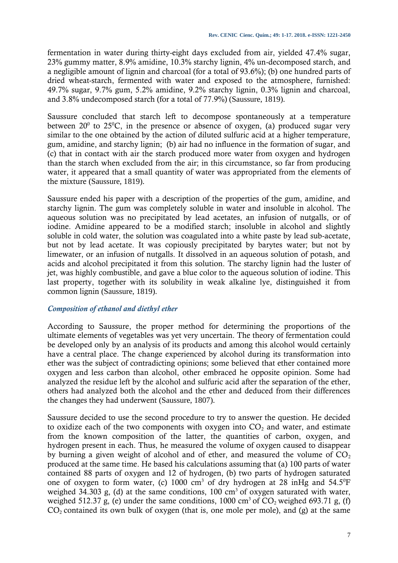fermentation in water during thirty-eight days excluded from air, yielded 47.4% sugar, 23% gummy matter, 8.9% amidine, 10.3% starchy lignin, 4% un-decomposed starch, and a negligible amount of lignin and charcoal (for a total of 93.6%); (b) one hundred parts of dried wheat-starch, fermented with water and exposed to the atmosphere, furnished: 49.7% sugar, 9.7% gum, 5.2% amidine, 9.2% starchy lignin, 0.3% lignin and charcoal, and 3.8% undecomposed starch (for a total of 77.9%) (Saussure, 1819).

Saussure concluded that starch left to decompose spontaneously at a temperature between 20<sup>0</sup> to 25<sup>0</sup>C, in the presence or absence of oxygen, (a) produced sugar very similar to the one obtained by the action of diluted sulfuric acid at a higher temperature, gum, amidine, and starchy lignin; (b) air had no influence in the formation of sugar, and (c) that in contact with air the starch produced more water from oxygen and hydrogen than the starch when excluded from the air; in this circumstance, so far from producing water, it appeared that a small quantity of water was appropriated from the elements of the mixture (Saussure, 1819).

Saussure ended his paper with a description of the properties of the gum, amidine, and starchy lignin. The gum was completely soluble in water and insoluble in alcohol. The aqueous solution was no precipitated by lead acetates, an infusion of nutgalls, or of iodine. Amidine appeared to be a modified starch; insoluble in alcohol and slightly soluble in cold water, the solution was coagulated into a white paste by lead sub-acetate, but not by lead acetate. It was copiously precipitated by barytes water; but not by limewater, or an infusion of nutgalls. It dissolved in an aqueous solution of potash, and acids and alcohol precipitated it from this solution. The starchy lignin had the luster of jet, was highly combustible, and gave a blue color to the aqueous solution of iodine. This last property, together with its solubility in weak alkaline lye, distinguished it from common lignin (Saussure, 1819).

## *Composition of ethanol and diethyl ether*

According to Saussure, the proper method for determining the proportions of the ultimate elements of vegetables was yet very uncertain. The theory of fermentation could be developed only by an analysis of its products and among this alcohol would certainly have a central place. The change experienced by alcohol during its transformation into ether was the subject of contradicting opinions; some believed that ether contained more oxygen and less carbon than alcohol, other embraced he opposite opinion. Some had analyzed the residue left by the alcohol and sulfuric acid after the separation of the ether, others had analyzed both the alcohol and the ether and deduced from their differences the changes they had underwent (Saussure, 1807).

Saussure decided to use the second procedure to try to answer the question. He decided to oxidize each of the two components with oxygen into  $CO<sub>2</sub>$  and water, and estimate from the known composition of the latter, the quantities of carbon, oxygen, and hydrogen present in each. Thus, he measured the volume of oxygen caused to disappear by burning a given weight of alcohol and of ether, and measured the volume of  $CO<sub>2</sub>$ produced at the same time. He based his calculations assuming that (a) 100 parts of water contained 88 parts of oxygen and 12 of hydrogen, (b) two parts of hydrogen saturated one of oxygen to form water, (c)  $1000 \text{ cm}^3$  of dry hydrogen at 28 inHg and  $54.5^{\circ}F$ weighed 34.303 g, (d) at the same conditions,  $100 \text{ cm}^3$  of oxygen saturated with water, weighed 512.37 g, (e) under the same conditions, 1000 cm<sup>3</sup> of  $CO_2$  weighed 693.71 g, (f)  $CO<sub>2</sub>$  contained its own bulk of oxygen (that is, one mole per mole), and (g) at the same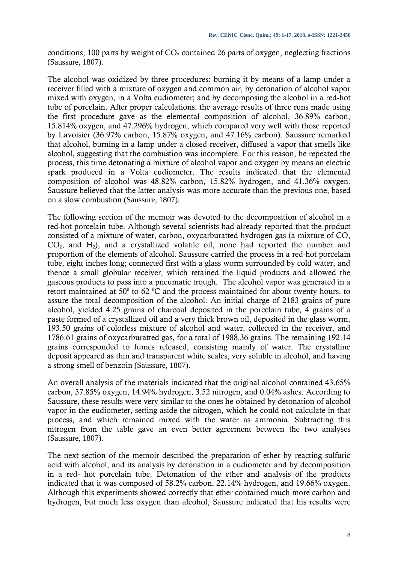conditions, 100 parts by weight of  $CO<sub>2</sub>$  contained 26 parts of oxygen, neglecting fractions (Saussure, 1807).

The alcohol was oxidized by three procedures: burning it by means of a lamp under a receiver filled with a mixture of oxygen and common air, by detonation of alcohol vapor mixed with oxygen, in a Volta eudiometer; and by decomposing the alcohol in a red-hot tube of porcelain. After proper calculations, the average results of three runs made using the first procedure gave as the elemental composition of alcohol, 36.89% carbon, 15.814% oxygen, and 47.296% hydrogen, which compared very well with those reported by Lavoisier (36.97% carbon, 15.87% oxygen, and 47.16% carbon). Saussure remarked that alcohol, burning in a lamp under a closed receiver, diffused a vapor that smells like alcohol, suggesting that the combustion was incomplete. For this reason, he repeated the process, this time detonating a mixture of alcohol vapor and oxygen by means an electric spark produced in a Volta eudiometer. The results indicated that the elemental composition of alcohol was 48.82% carbon, 15.82% hydrogen, and 41.36% oxygen. Saussure believed that the latter analysis was more accurate than the previous one, based on a slow combustion (Saussure, 1807).

The following section of the memoir was devoted to the decomposition of alcohol in a red-hot porcelain tube. Although several scientists had already reported that the product consisted of a mixture of water, carbon, oxycarburatted hydrogen gas (a mixture of CO,  $CO<sub>2</sub>$ , and H<sub>2</sub>), and a crystallized volatile oil, none had reported the number and proportion of the elements of alcohol. Saussure carried the process in a red-hot porcelain tube, eight inches long; connected first with a glass worm surrounded by cold water, and thence a small globular receiver, which retained the liquid products and allowed the gaseous products to pass into a pneumatic trough. The alcohol vapor was generated in a retort maintained at 50<sup>°</sup> to 62 <sup>°</sup>C and the process maintained for about twenty hours, to assure the total decomposition of the alcohol. An initial charge of 2183 grains of pure alcohol, yielded 4.25 grains of charcoal deposited in the porcelain tube, 4 grains of a paste formed of a crystallized oil and a very thick brown oil, deposited in the glass worm, 193.50 grains of colorless mixture of alcohol and water, collected in the receiver, and 1786.61 grains of oxycarburatted gas, for a total of 1988.36 grains. The remaining 192.14 grains corresponded to fumes released, consisting mainly of water. The crystalline deposit appeared as thin and transparent white scales, very soluble in alcohol, and having a strong smell of benzoin (Saussure, 1807).

An overall analysis of the materials indicated that the original alcohol contained 43.65% carbon, 37.85% oxygen, 14.94% hydrogen, 3.52 nitrogen, and 0.04% ashes. According to Saussure, these results were very similar to the ones he obtained by detonation of alcohol vapor in the eudiometer, setting aside the nitrogen, which he could not calculate in that process, and which remained mixed with the water as ammonia. Subtracting this nitrogen from the table gave an even better agreement between the two analyses (Saussure, 1807).

The next section of the memoir described the preparation of ether by reacting sulfuric acid with alcohol, and its analysis by detonation in a eudiometer and by decomposition in a red- hot porcelain tube. Detonation of the ether and analysis of the products indicated that it was composed of 58.2% carbon, 22.14% hydrogen, and 19.66% oxygen. Although this experiments showed correctly that ether contained much more carbon and hydrogen, but much less oxygen than alcohol, Saussure indicated that his results were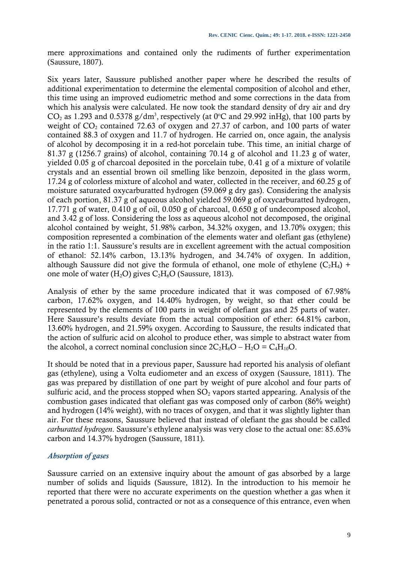mere approximations and contained only the rudiments of further experimentation (Saussure, 1807).

Six years later, Saussure published another paper where he described the results of additional experimentation to determine the elemental composition of alcohol and ether, this time using an improved eudiometric method and some corrections in the data from which his analysis were calculated. He now took the standard density of dry air and dry  $CO<sub>2</sub>$  as 1.293 and 0.5378 g/dm<sup>3</sup>, respectively (at 0°C and 29.992 inHg), that 100 parts by weight of  $CO<sub>2</sub>$  contained 72.63 of oxygen and 27.37 of carbon, and 100 parts of water contained 88.3 of oxygen and 11.7 of hydrogen. He carried on, once again, the analysis of alcohol by decomposing it in a red-hot porcelain tube. This time, an initial charge of 81.37 g (1256.7 grains) of alcohol, containing 70.14 g of alcohol and 11.23 g of water, yielded 0.05 g of charcoal deposited in the porcelain tube, 0.41 g of a mixture of volatile crystals and an essential brown oil smelling like benzoin, deposited in the glass worm, 17.24 g of colorless mixture of alcohol and water, collected in the receiver, and 60.25 g of moisture saturated oxycarburatted hydrogen (59.069 g dry gas). Considering the analysis of each portion, 81.37 g of aqueous alcohol yielded 59.069 g of oxycarburatted hydrogen, 17.771 g of water, 0.410 g of oil, 0.050 g of charcoal, 0.650 g of undecomposed alcohol, and 3.42 g of loss. Considering the loss as aqueous alcohol not decomposed, the original alcohol contained by weight, 51.98% carbon, 34.32% oxygen, and 13.70% oxygen; this composition represented a combination of the elements water and olefiant gas (ethylene) in the ratio 1:1. Saussure's results are in excellent agreement with the actual composition of ethanol: 52.14% carbon, 13.13% hydrogen, and 34.74% of oxygen. In addition, although Saussure did not give the formula of ethanol, one mole of ethylene  $(C_2H_4)$  + one mole of water (H<sub>2</sub>O) gives  $C_2H_6O$  (Saussure, 1813).

Analysis of ether by the same procedure indicated that it was composed of 67.98% carbon, 17.62% oxygen, and 14.40% hydrogen, by weight, so that ether could be represented by the elements of 100 parts in weight of olefiant gas and 25 parts of water. Here Saussure's results deviate from the actual composition of ether: 64.81% carbon, 13.60% hydrogen, and 21.59% oxygen. According to Saussure, the results indicated that the action of sulfuric acid on alcohol to produce ether, was simple to abstract water from the alcohol, a correct nominal conclusion since  $2C_2H_6O - H_2O = C_4H_{10}O$ .

It should be noted that in a previous paper, Saussure had reported his analysis of olefiant gas (ethylene), using a Volta eudiometer and an excess of oxygen (Saussure, 1811). The gas was prepared by distillation of one part by weight of pure alcohol and four parts of sulfuric acid, and the process stopped when  $SO_2$  vapors started appearing. Analysis of the combustion gases indicated that olefiant gas was composed only of carbon (86% weight) and hydrogen (14% weight), with no traces of oxygen, and that it was slightly lighter than air. For these reasons, Saussure believed that instead of olefiant the gas should be called *carburatted hydrogen*. Saussure's ethylene analysis was very close to the actual one: 85.63% carbon and 14.37% hydrogen (Saussure, 1811).

## *Absorption of gases*

Saussure carried on an extensive inquiry about the amount of gas absorbed by a large number of solids and liquids (Saussure, 1812). In the introduction to his memoir he reported that there were no accurate experiments on the question whether a gas when it penetrated a porous solid, contracted or not as a consequence of this entrance, even when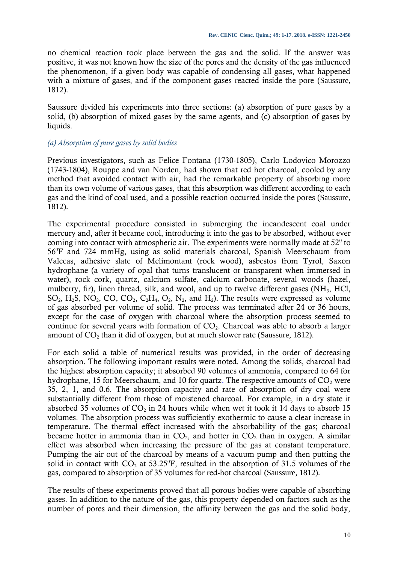no chemical reaction took place between the gas and the solid. If the answer was positive, it was not known how the size of the pores and the density of the gas influenced the phenomenon, if a given body was capable of condensing all gases, what happened with a mixture of gases, and if the component gases reacted inside the pore (Saussure, 1812).

Saussure divided his experiments into three sections: (a) absorption of pure gases by a solid, (b) absorption of mixed gases by the same agents, and (c) absorption of gases by liquids.

## *(a) Absorption of pure gases by solid bodies*

Previous investigators, such as Felice Fontana (1730-1805), Carlo Lodovico Morozzo (1743-1804), Rouppe and van Norden, had shown that red hot charcoal, cooled by any method that avoided contact with air, had the remarkable property of absorbing more than its own volume of various gases, that this absorption was different according to each gas and the kind of coal used, and a possible reaction occurred inside the pores (Saussure, 1812).

The experimental procedure consisted in submerging the incandescent coal under mercury and, after it became cool, introducing it into the gas to be absorbed, without ever coming into contact with atmospheric air. The experiments were normally made at  $52^{\circ}$  to 56<sup>0</sup>F and 724 mmHg, using as solid materials charcoal, Spanish Meerschaum from Valecas, adhesive slate of Melimontant (rock wood), asbestos from Tyrol, Saxon hydrophane (a variety of opal that turns translucent or transparent when immersed in water), rock cork, quartz, calcium sulfate, calcium carbonate, several woods (hazel, mulberry, fir), linen thread, silk, and wool, and up to twelve different gases (NH3, HCl,  $SO_2$ ,  $H_2S$ ,  $NO_2$ ,  $CO$ ,  $CO_2$ ,  $C_2H_4$ ,  $O_2$ ,  $N_2$ , and  $H_2$ ). The results were expressed as volume of gas absorbed per volume of solid. The process was terminated after 24 or 36 hours, except for the case of oxygen with charcoal where the absorption process seemed to continue for several years with formation of  $CO<sub>2</sub>$ . Charcoal was able to absorb a larger amount of  $CO<sub>2</sub>$  than it did of oxygen, but at much slower rate (Saussure, 1812).

For each solid a table of numerical results was provided, in the order of decreasing absorption. The following important results were noted. Among the solids, charcoal had the highest absorption capacity; it absorbed 90 volumes of ammonia, compared to 64 for hydrophane, 15 for Meerschaum, and 10 for quartz. The respective amounts of  $CO<sub>2</sub>$  were 35, 2, 1, and 0.6. The absorption capacity and rate of absorption of dry coal were substantially different from those of moistened charcoal. For example, in a dry state it absorbed 35 volumes of  $CO<sub>2</sub>$  in 24 hours while when wet it took it 14 days to absorb 15 volumes. The absorption process was sufficiently exothermic to cause a clear increase in temperature. The thermal effect increased with the absorbability of the gas; charcoal became hotter in ammonia than in  $CO<sub>2</sub>$ , and hotter in  $CO<sub>2</sub>$  than in oxygen. A similar effect was absorbed when increasing the pressure of the gas at constant temperature. Pumping the air out of the charcoal by means of a vacuum pump and then putting the solid in contact with  $CO_2$  at 53.25<sup>o</sup>F, resulted in the absorption of 31.5 volumes of the gas, compared to absorption of 35 volumes for red-hot charcoal (Saussure, 1812).

The results of these experiments proved that all porous bodies were capable of absorbing gases. In addition to the nature of the gas, this property depended on factors such as the number of pores and their dimension, the affinity between the gas and the solid body,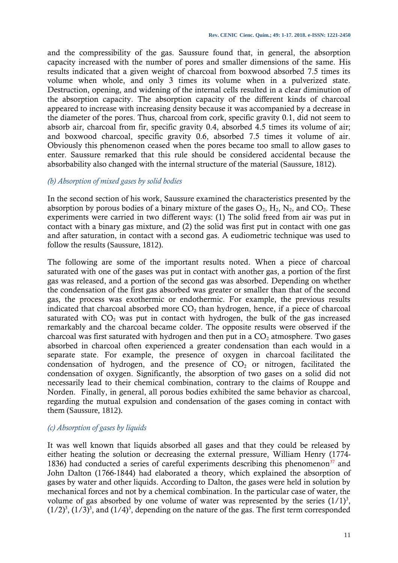and the compressibility of the gas. Saussure found that, in general, the absorption capacity increased with the number of pores and smaller dimensions of the same. His results indicated that a given weight of charcoal from boxwood absorbed 7.5 times its volume when whole, and only 3 times its volume when in a pulverized state. Destruction, opening, and widening of the internal cells resulted in a clear diminution of the absorption capacity. The absorption capacity of the different kinds of charcoal appeared to increase with increasing density because it was accompanied by a decrease in the diameter of the pores. Thus, charcoal from cork, specific gravity 0.1, did not seem to absorb air, charcoal from fir, specific gravity 0.4, absorbed 4.5 times its volume of air; and boxwood charcoal, specific gravity 0.6, absorbed 7.5 times it volume of air. Obviously this phenomenon ceased when the pores became too small to allow gases to enter. Saussure remarked that this rule should be considered accidental because the absorbability also changed with the internal structure of the material (Saussure, 1812).

#### *(b) Absorption of mixed gases by solid bodies*

In the second section of his work, Saussure examined the characteristics presented by the absorption by porous bodies of a binary mixture of the gases  $O_2$ ,  $H_2$ ,  $N_2$ , and  $CO_2$ . These experiments were carried in two different ways: (1) The solid freed from air was put in contact with a binary gas mixture, and (2) the solid was first put in contact with one gas and after saturation, in contact with a second gas. A eudiometric technique was used to follow the results (Saussure, 1812).

The following are some of the important results noted. When a piece of charcoal saturated with one of the gases was put in contact with another gas, a portion of the first gas was released, and a portion of the second gas was absorbed. Depending on whether the condensation of the first gas absorbed was greater or smaller than that of the second gas, the process was exothermic or endothermic. For example, the previous results indicated that charcoal absorbed more  $CO<sub>2</sub>$  than hydrogen, hence, if a piece of charcoal saturated with  $CO<sub>2</sub>$  was put in contact with hydrogen, the bulk of the gas increased remarkably and the charcoal became colder. The opposite results were observed if the charcoal was first saturated with hydrogen and then put in a  $CO<sub>2</sub>$  atmosphere. Two gases absorbed in charcoal often experienced a greater condensation than each would in a separate state. For example, the presence of oxygen in charcoal facilitated the condensation of hydrogen, and the presence of  $CO<sub>2</sub>$  or nitrogen, facilitated the condensation of oxygen. Significantly, the absorption of two gases on a solid did not necessarily lead to their chemical combination, contrary to the claims of Rouppe and Norden. Finally, in general, all porous bodies exhibited the same behavior as charcoal, regarding the mutual expulsion and condensation of the gases coming in contact with them (Saussure, 1812).

#### *(c) Absorption of gases by liquids*

It was well known that liquids absorbed all gases and that they could be released by either heating the solution or decreasing the external pressure, William Henry (1774- 1836) had conducted a series of careful experiments describing this phenomenon<sup>37</sup> and John Dalton (1766-1844) had elaborated a theory, which explained the absorption of gases by water and other liquids. According to Dalton, the gases were held in solution by mechanical forces and not by a chemical combination. In the particular case of water, the volume of gas absorbed by one volume of water was represented by the series  $(1/1)^3$ ,  $(1/2)^3$ ,  $(1/3)^3$ , and  $(1/4)^3$ , depending on the nature of the gas. The first term corresponded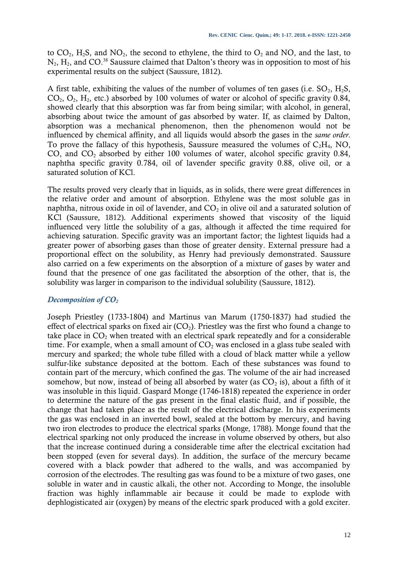to  $CO_2$ , H<sub>2</sub>S, and NO<sub>2</sub>, the second to ethylene, the third to  $O_2$  and NO, and the last, to  $N_2$ ,  $H_2$ , and CO.<sup>38</sup> Saussure claimed that Dalton's theory was in opposition to most of his experimental results on the subject (Saussure, 1812).

A first table, exhibiting the values of the number of volumes of ten gases (i.e.  $SO_2$ ,  $H_2S$ ,  $CO<sub>2</sub>, O<sub>2</sub>, H<sub>2</sub>$ , etc.) absorbed by 100 volumes of water or alcohol of specific gravity 0.84, showed clearly that this absorption was far from being similar; with alcohol, in general, absorbing about twice the amount of gas absorbed by water. If, as claimed by Dalton, absorption was a mechanical phenomenon, then the phenomenon would not be influenced by chemical affinity, and all liquids would absorb the gases in the *same order*. To prove the fallacy of this hypothesis, Saussure measured the volumes of  $C_2H_4$ , NO, CO, and  $CO<sub>2</sub>$  absorbed by either 100 volumes of water, alcohol specific gravity 0.84, naphtha specific gravity 0.784, oil of lavender specific gravity 0.88, olive oil, or a saturated solution of KCl.

The results proved very clearly that in liquids, as in solids, there were great differences in the relative order and amount of absorption. Ethylene was the most soluble gas in naphtha, nitrous oxide in oil of lavender, and  $CO<sub>2</sub>$  in olive oil and a saturated solution of KCl (Saussure, 1812). Additional experiments showed that viscosity of the liquid influenced very little the solubility of a gas, although it affected the time required for achieving saturation. Specific gravity was an important factor; the lightest liquids had a greater power of absorbing gases than those of greater density. External pressure had a proportional effect on the solubility, as Henry had previously demonstrated. Saussure also carried on a few experiments on the absorption of a mixture of gases by water and found that the presence of one gas facilitated the absorption of the other, that is, the solubility was larger in comparison to the individual solubility (Saussure, 1812).

## *Decomposition of CO<sup>2</sup>*

Joseph Priestley (1733-1804) and Martinus van Marum (1750-1837) had studied the effect of electrical sparks on fixed air  $(CO_2)$ . Priestley was the first who found a change to take place in  $CO<sub>2</sub>$  when treated with an electrical spark repeatedly and for a considerable time. For example, when a small amount of  $CO<sub>2</sub>$  was enclosed in a glass tube sealed with mercury and sparked; the whole tube filled with a cloud of black matter while a yellow sulfur-like substance deposited at the bottom. Each of these substances was found to contain part of the mercury, which confined the gas. The volume of the air had increased somehow, but now, instead of being all absorbed by water (as  $CO<sub>2</sub>$  is), about a fifth of it was insoluble in this liquid. Gaspard Monge (1746-1818) repeated the experience in order to determine the nature of the gas present in the final elastic fluid, and if possible, the change that had taken place as the result of the electrical discharge. In his experiments the gas was enclosed in an inverted bowl, sealed at the bottom by mercury, and having two iron electrodes to produce the electrical sparks (Monge, 1788). Monge found that the electrical sparking not only produced the increase in volume observed by others, but also that the increase continued during a considerable time after the electrical excitation had been stopped (even for several days). In addition, the surface of the mercury became covered with a black powder that adhered to the walls, and was accompanied by corrosion of the electrodes. The resulting gas was found to be a mixture of two gases, one soluble in water and in caustic alkali, the other not. According to Monge, the insoluble fraction was highly inflammable air because it could be made to explode with dephlogisticated air (oxygen) by means of the electric spark produced with a gold exciter.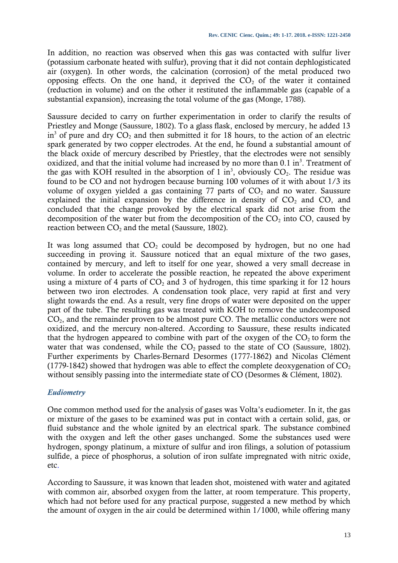In addition, no reaction was observed when this gas was contacted with sulfur liver (potassium carbonate heated with sulfur), proving that it did not contain dephlogisticated air (oxygen). In other words, the calcination (corrosion) of the metal produced two opposing effects. On the one hand, it deprived the  $CO<sub>2</sub>$  of the water it contained (reduction in volume) and on the other it restituted the inflammable gas (capable of a substantial expansion), increasing the total volume of the gas (Monge, 1788).

Saussure decided to carry on further experimentation in order to clarify the results of Priestley and Monge (Saussure, 1802). To a glass flask, enclosed by mercury, he added 13 in<sup>3</sup> of pure and dry  $CO_2$  and then submitted it for 18 hours, to the action of an electric spark generated by two copper electrodes. At the end, he found a substantial amount of the black oxide of mercury described by Priestley, that the electrodes were not sensibly oxidized, and that the initial volume had increased by no more than  $0.1 \text{ in}^3$ . Treatment of the gas with KOH resulted in the absorption of 1 in<sup>3</sup>, obviously  $CO<sub>2</sub>$ . The residue was found to be CO and not hydrogen because burning 100 volumes of it with about 1/3 its volume of oxygen yielded a gas containing 77 parts of  $CO<sub>2</sub>$  and no water. Saussure explained the initial expansion by the difference in density of  $CO<sub>2</sub>$  and  $CO<sub>1</sub>$  and concluded that the change provoked by the electrical spark did not arise from the decomposition of the water but from the decomposition of the  $CO<sub>2</sub>$  into CO, caused by reaction between  $CO<sub>2</sub>$  and the metal (Saussure, 1802).

It was long assumed that  $CO<sub>2</sub>$  could be decomposed by hydrogen, but no one had succeeding in proving it. Saussure noticed that an equal mixture of the two gases, contained by mercury, and left to itself for one year, showed a very small decrease in volume. In order to accelerate the possible reaction, he repeated the above experiment using a mixture of 4 parts of  $CO<sub>2</sub>$  and 3 of hydrogen, this time sparking it for 12 hours between two iron electrodes. A condensation took place, very rapid at first and very slight towards the end. As a result, very fine drops of water were deposited on the upper part of the tube. The resulting gas was treated with KOH to remove the undecomposed  $CO<sub>2</sub>$ , and the remainder proven to be almost pure CO. The metallic conductors were not oxidized, and the mercury non-altered. According to Saussure, these results indicated that the hydrogen appeared to combine with part of the  $\alpha$  oxygen of the  $\alpha$ <sub>2</sub> to form the water that was condensed, while the  $CO<sub>2</sub>$  passed to the state of  $CO$  (Saussure, 1802). Further experiments by Charles-Bernard Desormes (1777-1862) and Nicolas Clément (1779-1842) showed that hydrogen was able to effect the complete deoxygenation of  $CO<sub>2</sub>$ without sensibly passing into the intermediate state of CO (Desormes & Clément, 1802).

## *Eudiometry*

One common method used for the analysis of gases was Volta's eudiometer. In it, the gas or mixture of the gases to be examined was put in contact with a certain solid, gas, or fluid substance and the whole ignited by an electrical spark. The substance combined with the oxygen and left the other gases unchanged. Some the substances used were hydrogen, spongy platinum, a mixture of sulfur and iron filings, a solution of potassium sulfide, a piece of phosphorus, a solution of iron sulfate impregnated with nitric oxide, etc.

According to Saussure, it was known that leaden shot, moistened with water and agitated with common air, absorbed oxygen from the latter, at room temperature. This property, which had not before used for any practical purpose, suggested a new method by which the amount of oxygen in the air could be determined within 1/1000, while offering many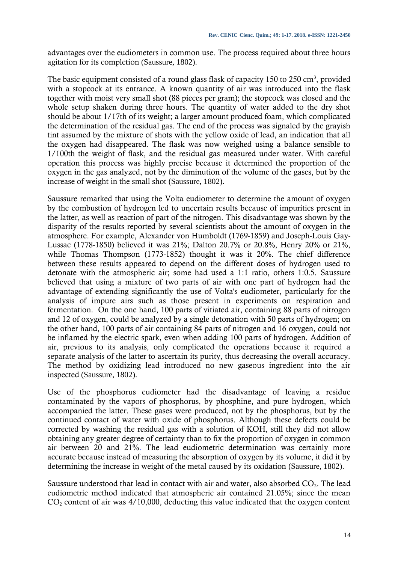advantages over the eudiometers in common use. The process required about three hours agitation for its completion (Saussure, 1802).

The basic equipment consisted of a round glass flask of capacity 150 to 250  $\text{cm}^3$ , provided with a stopcock at its entrance. A known quantity of air was introduced into the flask together with moist very small shot (88 pieces per gram); the stopcock was closed and the whole setup shaken during three hours. The quantity of water added to the dry shot should be about 1/17th of its weight; a larger amount produced foam, which complicated the determination of the residual gas. The end of the process was signaled by the grayish tint assumed by the mixture of shots with the yellow oxide of lead, an indication that all the oxygen had disappeared. The flask was now weighed using a balance sensible to 1/100th the weight of flask, and the residual gas measured under water. With careful operation this process was highly precise because it determined the proportion of the oxygen in the gas analyzed, not by the diminution of the volume of the gases, but by the increase of weight in the small shot (Saussure, 1802).

Saussure remarked that using the Volta eudiometer to determine the amount of oxygen by the combustion of hydrogen led to uncertain results because of impurities present in the latter, as well as reaction of part of the nitrogen. This disadvantage was shown by the disparity of the results reported by several scientists about the amount of oxygen in the atmosphere. For example, Alexander von Humboldt (1769-1859) and Joseph-Louis Gay-Lussac (1778-1850) believed it was 21%; Dalton 20.7% or 20.8%, Henry 20% or 21%, while Thomas Thompson (1773-1852) thought it was it 20%. The chief difference between these results appeared to depend on the different doses of hydrogen used to detonate with the atmospheric air; some had used a 1:1 ratio, others 1:0.5. Saussure believed that using a mixture of two parts of air with one part of hydrogen had the advantage of extending significantly the use of Volta's eudiometer, particularly for the analysis of impure airs such as those present in experiments on respiration and fermentation. On the one hand, 100 parts of vitiated air, containing 88 parts of nitrogen and 12 of oxygen, could be analyzed by a single detonation with 50 parts of hydrogen; on the other hand, 100 parts of air containing 84 parts of nitrogen and 16 oxygen, could not be inflamed by the electric spark, even when adding 100 parts of hydrogen. Addition of air, previous to its analysis, only complicated the operations because it required a separate analysis of the latter to ascertain its purity, thus decreasing the overall accuracy. The method by oxidizing lead introduced no new gaseous ingredient into the air inspected (Saussure, 1802).

Use of the phosphorus eudiometer had the disadvantage of leaving a residue contaminated by the vapors of phosphorus, by phosphine, and pure hydrogen, which accompanied the latter. These gases were produced, not by the phosphorus, but by the continued contact of water with oxide of phosphorus. Although these defects could be corrected by washing the residual gas with a solution of KOH, still they did not allow obtaining any greater degree of certainty than to fix the proportion of oxygen in common air between 20 and 21%. The lead eudiometric determination was certainly more accurate because instead of measuring the absorption of oxygen by its volume, it did it by determining the increase in weight of the metal caused by its oxidation (Saussure, 1802).

Saussure understood that lead in contact with air and water, also absorbed  $CO<sub>2</sub>$ . The lead eudiometric method indicated that atmospheric air contained 21.05%; since the mean  $CO<sub>2</sub>$  content of air was 4/10,000, deducting this value indicated that the oxygen content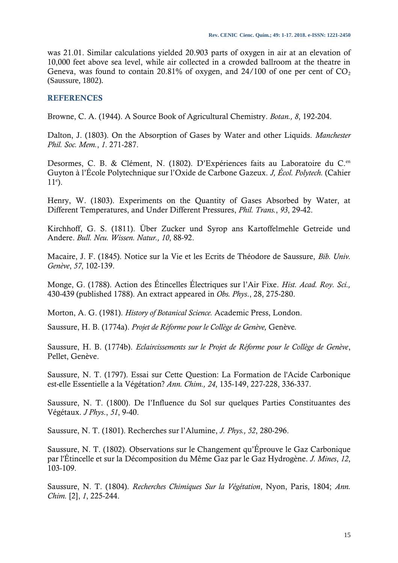was 21.01. Similar calculations yielded 20.903 parts of oxygen in air at an elevation of 10,000 feet above sea level, while air collected in a crowded ballroom at the theatre in Geneva, was found to contain 20.81% of oxygen, and 24/100 of one per cent of  $CO<sub>2</sub>$ (Saussure, 1802).

#### **REFERENCES**

Browne, C. A. (1944). A Source Book of Agricultural Chemistry. *Botan., 8*, 192-204.

Dalton, J. (1803). On the Absorption of Gases by Water and other Liquids. *Manchester Phil. Soc. Mem.*, *1*. 271-287.

Desormes, C. B. & Clément, N. (1802). D'Expériences faits au Laboratoire du C.<sup>en</sup> Guyton à l'École Polytechnique sur l'Oxide de Carbone Gazeux. *J, Écol. Polytech.* (Cahier  $11<sup>e</sup>$ ).

Henry, W. (1803). Experiments on the Quantity of Gases Absorbed by Water, at Different Temperatures, and Under Different Pressures, *Phil. Trans.*, *93*, 29-42.

Kirchhoff, G. S. (1811). Über Zucker und Syrop ans Kartoffelmehle Getreide und Andere. *Bull. Neu. Wissen. Natur., 10*, 88-92.

Macaire, J. F. (1845). Notice sur la Vie et les Ecrits de Théodore de Saussure, *Bib. Univ. Genève*, *57*, 102-139.

Monge, G. (1788). Action des Étincelles Électriques sur l'Air Fixe. *Hist. Acad. Roy. Sci.,* 430-439 (published 1788). An extract appeared in *Obs. Phys*., 28, 275-280.

Morton, A. G. (1981). *History of Botanical Science.* Academic Press, London.

Saussure, H. B. (1774a). *Projet de Réforme pour le Collège de Genève,* Genève*.*

Saussure, H. B. (1774b). *Eclaircissements sur le Projet de Réforme pour le Collège de Genève*, Pellet, Genève.

Saussure, N. T. (1797). Essai sur Cette Question: La Formation de l'Acide Carbonique est-elle Essentielle a la Végétation? *Ann. Chim., 24*, 135-149, 227-228, 336-337.

Saussure, N. T. (1800). De l'Influence du Sol sur quelques Parties Constituantes des Végétaux. *J Phys*., *51*, 9-40.

Saussure, N. T. (1801). Recherches sur l'Alumine, *J. Phys., 52*, 280-296.

Saussure, N. T. (1802). Observations sur le Changement qu'Éprouve le Gaz Carbonique par l'Étincelle et sur la Décomposition du Même Gaz par le Gaz Hydrogène. *J. Mines*, *12*, 103-109.

Saussure, N. T. (1804). *Recherches Chimiques Sur la Végétation*, Nyon, Paris, 1804; *Ann. Chim.* [2], *1*, 225-244.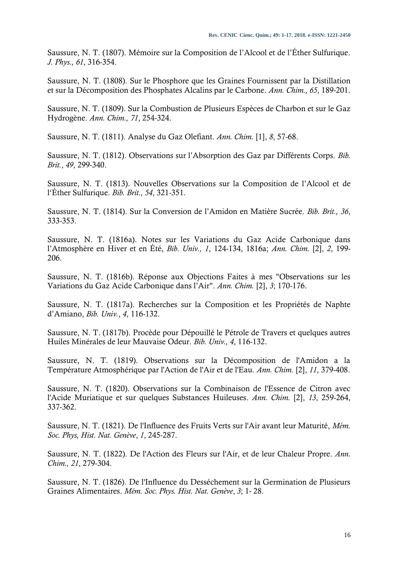Saussure, N. T. (1807). Mémoire sur la Composition de l'Alcool et de l'Éther Sulfurique. *J. Phys., 61*, 316-354.

Saussure, N. T. (1808). Sur le Phosphore que les Graines Fournissent par la Distillation et sur la Décomposition des Phosphates Alcalins par le Carbone. *Ann. Chim., 65*, 189-201.

Saussure, N. T. (1809). Sur la Combustion de Plusieurs Espèces de Charbon et sur le Gaz Hydrogène. *Ann. Chim., 71*, 254-324.

Saussure, N. T. (1811). Analyse du Gaz Olefiant. *Ann. Chim.* [1], *8*, 57-68.

Saussure, N. T. (1812). Observations sur l'Absorption des Gaz par Différents Corps. *Bib. Brit.*, *49*, 299-340.

Saussure, N. T. (1813). Nouvelles Observations sur la Composition de l'Alcool et de l'Éther Sulfurique. *Bib. Brit., 54*, 321-351.

Saussure, N. T. (1814). Sur la Conversion de l'Amidon en Matière Sucrée. *Bib. Brit., 36*, 333-353.

Saussure, N. T. (1816a). Notes sur les Variations du Gaz Acide Carbonique dans l'Atmosphère en Hiver et en Été, *Bib. Univ., 1*, 124-134, 1816a; *Ann. Chim.* [2], *2*, 199- 206.

Saussure, N. T. (1816b). Réponse aux Objections Faites à mes "Observations sur les Variations du Gaz Acide Carbonique dans l'Air". *Ann. Chim.* [2], *3*; 170-176.

Saussure, N. T. (1817a). Recherches sur la Composition et les Propriétés de Naphte d'Amiano, *Bib. Univ.*, *4*, 116-132.

Saussure, N. T. (1817b). Procède pour Dépouillé le Pétrole de Travers et quelques autres Huiles Minérales de leur Mauvaise Odeur. *Bib. Univ., 4*, 116-132.

Saussure, N. T. (1819). Observations sur la Décomposition de l'Amidon a la Température Atmosphérique par l'Action de l'Air et de l'Eau. *Ann. Chim.* [2], *11*, 379-408.

Saussure, N. T. (1820). Observations sur la Combinaison de l'Essence de Citron avec l'Acide Muriatique et sur quelques Substances Huileuses. *Ann. Chim.* [2], *13*, 259-264, 337-362.

Saussure, N. T. (1821). De l'Influence des Fruits Verts sur l'Air avant leur Maturité, *Mém. Soc. Phys, Hist. Nat. Genève*, *1*, 245-287.

Saussure, N. T. (1822). De l'Action des Fleurs sur l'Air, et de leur Chaleur Propre. *Ann. Chim., 21*, 279-304.

Saussure, N. T. (1826). De l'Influence du Desséchement sur la Germination de Plusieurs Graines Alimentaires. *Mém. Soc. Phys. Hist. Nat. Genève*, *3*; 1- 28.